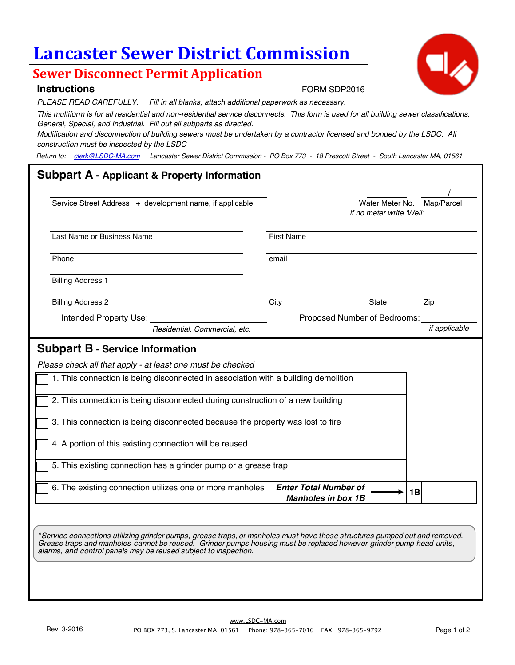# **Lancaster Sewer District Commission**

## **Sewer Disconnect Permit Application**

#### **Instructions**

*PLEASE READ CAREFULLY. Fill in all blanks, attach additional paperwork as necessary.*

*This multiform is for all residential and non-residential service disconnects. This form is used for all building sewer classifications, General, Special, and Industrial. Fill out all subparts as directed.* 

*Modification and disconnection of building sewers must be undertaken by a contractor licensed and bonded by the LSDC. All construction must be inspected by the LSDC*

*Return to: clerk@LSDC-MA.com Lancaster Sewer District Commission - PO Box 773 - 18 Prescott Street - South Lancaster MA, 01561*

# **Subpart A - Applicant & Property Information**  / Service Street Address + development name, if applicable Water Meter Mo. Map/Parcel *if no meter write 'Well'* Last Name or Business Name Phone email and the contract of the contract of the contract of the contract of the contract of the contract of the contract of the contract of the contract of the contract of the contract of the contract of the contract o Billing Address 1 Billing Address 2 City City State Zip Intended Property Use: Proposed Number of Bedrooms: *Residential, Commercial, etc. if applicable* **Subpart B - Service Information** *Please check all that apply - at least one must be checked* 1. This connection is being disconnected in association with a building demolition 2. This connection is being disconnected during construction of a new building 3. This connection is being disconnected because the property was lost to fire 4. A portion of this existing connection will be reused 5. This existing connection has a grinder pump or a grease trap 6. The existing connection utilizes one or more manholes **Enter Total Number of** <br>1B *Manholes in box 1B subject to additional permitting by the Massachusetts Water Resources Authority. \*Service connections utilizing grinder pumps, grease traps, or manholes must have those structures pumped out and removed. Grease traps and manholes cannot be reused. Grinder pumps housing must be replaced however grinder pump head units, alarms, and control panels may be reused subject to inspection.*



FORM SDP2016